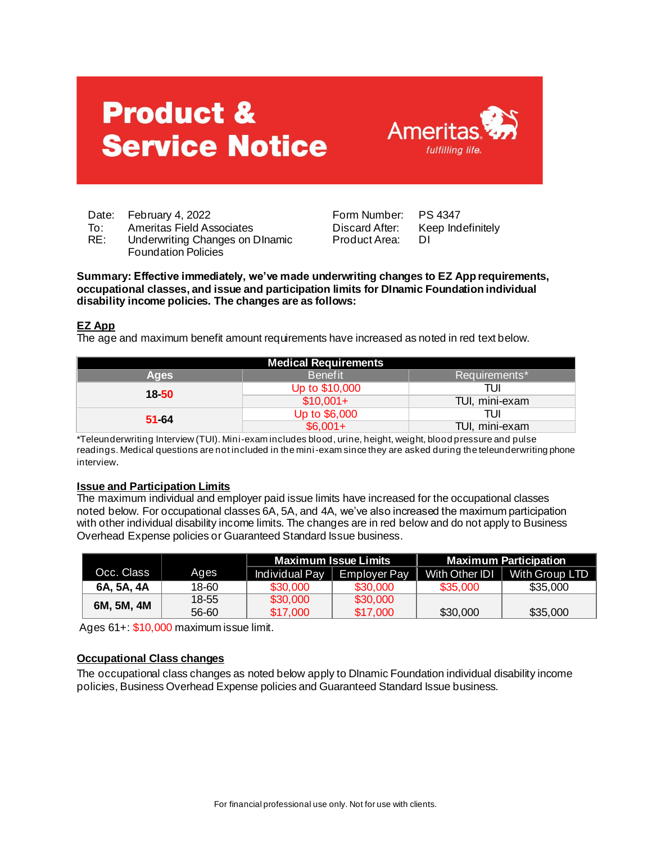# **Product & Service Notice**



Date: February 4, 2022 Form Number: PS 4347

- 
- To: Ameritas Field Associates **Discard After: Keep Indefinitely**<br>RE: Underwriting Changes on Dinamic Product Area: DI Underwriting Changes on DInamic Foundation Policies

Product Area:

**Summary: Effective immediately, we've made underwriting changes to EZ App requirements, occupational classes, and issue and participation limits for DInamic Foundation individual disability income policies. The changes are as follows:** 

# **EZ App**

The age and maximum benefit amount requirements have increased as noted in red text below.

| <b>Medical Requirements</b> |                |                |  |  |  |  |  |
|-----------------------------|----------------|----------------|--|--|--|--|--|
| <b>Ages</b>                 | <b>Benefit</b> | Requirements*  |  |  |  |  |  |
| $18 - 50$                   | Up to \$10,000 | TUI            |  |  |  |  |  |
|                             | $$10,001+$     | TUI, mini-exam |  |  |  |  |  |
| $51-64$                     | Up to \$6,000  | TUI            |  |  |  |  |  |
|                             | $$6.001+$      | TUI, mini-exam |  |  |  |  |  |

\*Teleunderwriting Interview (TUI). Mini-exam includes blood, urine, height, weight, blood pressure and pulse readings. Medical questions are not included in the mini-exam since they are asked during the teleunderwriting phone interview.

### **Issue and Participation Limits**

The maximum individual and employer paid issue limits have increased for the occupational classes noted below. For occupational classes 6A, 5A, and 4A, we've also increased the maximum participation with other individual disability income limits. The changes are in red below and do not apply to Business Overhead Expense policies or Guaranteed Standard Issue business.

|            |       |                | <b>Maximum Issue Limits</b> | <b>Maximum Participation</b> |                 |  |  |
|------------|-------|----------------|-----------------------------|------------------------------|-----------------|--|--|
| Occ. Class | Ages  | Individual Pay | <b>Employer Pay</b>         | With Other IDI               | With Group LTD. |  |  |
| 6A, 5A, 4A | 18-60 | \$30,000       | \$30,000                    | \$35,000                     | \$35,000        |  |  |
| 6M, 5M, 4M | 18-55 | \$30,000       | \$30,000                    |                              |                 |  |  |
|            | 56-60 | \$17,000       | \$17,000                    | \$30,000                     | \$35,000        |  |  |

Ages 61+: \$10,000 maximum issue limit.

## **Occupational Class changes**

The occupational class changes as noted below apply to DInamic Foundation individual disability income policies, Business Overhead Expense policies and Guaranteed Standard Issue business.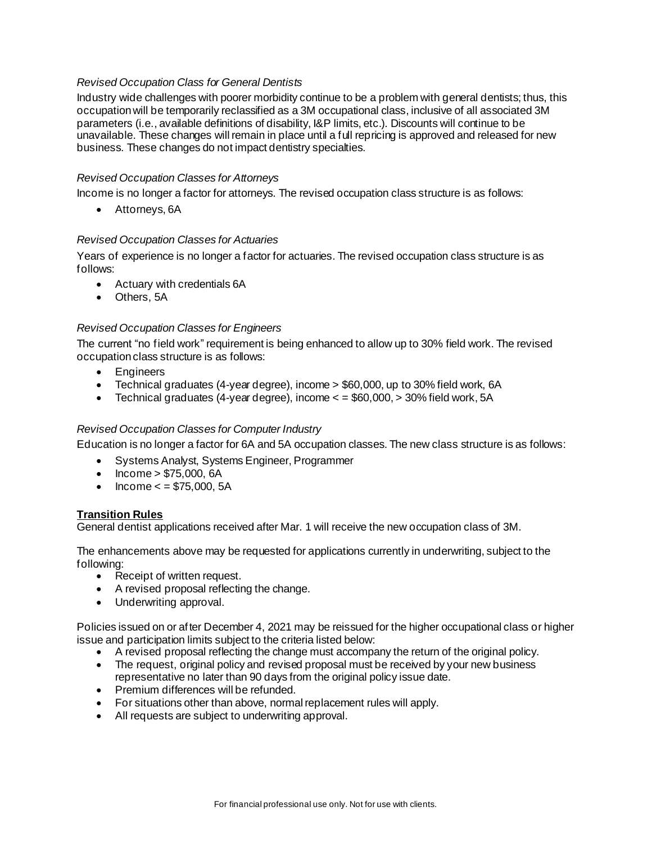## *Revised Occupation Class for General Dentists*

Industry wide challenges with poorer morbidity continue to be a problem with general dentists; thus, this occupation will be temporarily reclassified as a 3M occupational class, inclusive of all associated 3M parameters (i.e., available definitions of disability, I&P limits, etc.). Discounts will continue to be unavailable. These changes will remain in place until a full repricing is approved and released for new business. These changes do not impact dentistry specialties.

#### *Revised Occupation Classes for Attorneys*

Income is no longer a factor for attorneys. The revised occupation class structure is as follows:

• Attorneys, 6A

#### *Revised Occupation Classes for Actuaries*

Years of experience is no longer a factor for actuaries. The revised occupation class structure is as follows:

- Actuary with credentials 6A
- Others, 5A

#### *Revised Occupation Classes for Engineers*

The current "no field work" requirement is being enhanced to allow up to 30% field work. The revised occupation class structure is as follows:

- Engineers
- Technical graduates (4-year degree), income > \$60,000, up to 30% field work, 6A
- Technical graduates (4-year degree), income  $\epsilon$  = \$60,000, > 30% field work, 5A

#### *Revised Occupation Classes for Computer Industry*

Education is no longer a factor for 6A and 5A occupation classes. The new class structure is as follows:

- Systems Analyst, Systems Engineer, Programmer
- Income > \$75,000, 6A
- $Income < = $75,000, 5A$

#### **Transition Rules**

General dentist applications received after Mar. 1 will receive the new occupation class of 3M.

The enhancements above may be requested for applications currently in underwriting, subject to the following:

- Receipt of written request.
- A revised proposal reflecting the change.
- Underwriting approval.

Policies issued on or after December 4, 2021 may be reissued for the higher occupational class or higher issue and participation limits subject to the criteria listed below:

- A revised proposal reflecting the change must accompany the return of the original policy.
- The request, original policy and revised proposal must be received by your new business representative no later than 90 days from the original policy issue date.
- Premium differences will be refunded.
- For situations other than above, normal replacement rules will apply.
- All requests are subject to underwriting approval.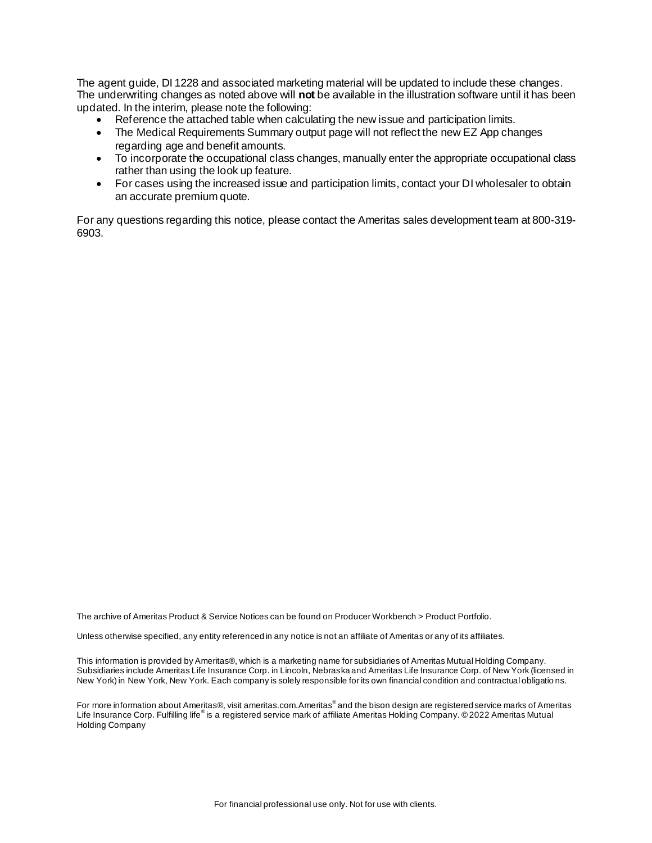The agent guide, DI 1228 and associated marketing material will be updated to include these changes. The underwriting changes as noted above will **not** be available in the illustration software until it has been updated. In the interim, please note the following:

- Reference the attached table when calculating the new issue and participation limits.
- The Medical Requirements Summary output page will not reflect the new EZ App changes regarding age and benefit amounts.
- To incorporate the occupational class changes, manually enter the appropriate occupational class rather than using the look up feature.
- For cases using the increased issue and participation limits, contact your DI wholesaler to obtain an accurate premium quote.

For any questions regarding this notice, please contact the Ameritas sales development team at 800-319- 6903.

The archive of Ameritas Product & Service Notices can be found on Producer Workbench > Product Portfolio.

Unless otherwise specified, any entity referenced in any notice is not an affiliate of Ameritas or any of its affiliates.

This information is provided by Ameritas®, which is a marketing name for subsidiaries of Ameritas Mutual Holding Company. Subsidiaries include Ameritas Life Insurance Corp. in Lincoln, Nebraska and Ameritas Life Insurance Corp. of New York (licensed in New York) in New York, New York. Each company is solely responsible for its own financial condition and contractual obligatio ns.

For more information about Ameritas®, visit ameritas.com.Ameritas® and the bison design are registered service marks of Ameritas Life Insurance Corp. Fulfilling life®is a registered service mark of affiliate Ameritas Holding Company. ©2022 Ameritas Mutual Holding Company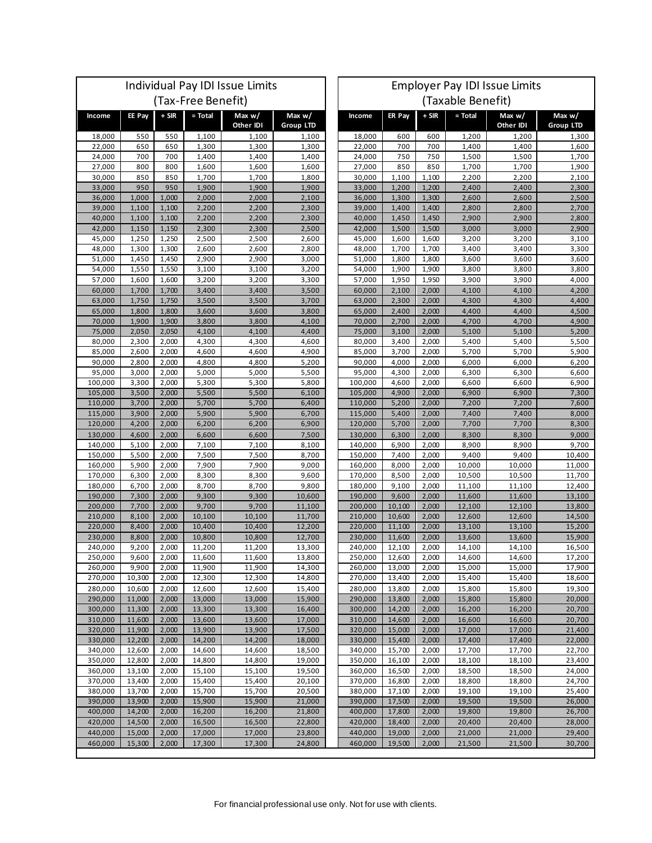| Individual Pay IDI Issue Limits |                  |                |                  |                       | <b>Employer Pay IDI Issue Limits</b> |                    |                  |                |                  |                       |                              |
|---------------------------------|------------------|----------------|------------------|-----------------------|--------------------------------------|--------------------|------------------|----------------|------------------|-----------------------|------------------------------|
| (Tax-Free Benefit)              |                  |                |                  |                       | (Taxable Benefit)                    |                    |                  |                |                  |                       |                              |
| Income                          | EE Pay           | + SIR          | = Total          | Max $w/$<br>Other IDI | Max $w/$<br><b>Group LTD</b>         | Income             | ER Pay           | $+$ SIR        | $=$ Total        | Max $w/$<br>Other IDI | Max $w/$<br><b>Group LTD</b> |
| 18,000                          | 550              | 550            | 1,100            | 1,100                 | 1,100                                | 18,000             | 600              | 600            | 1,200            | 1,200                 | 1,300                        |
| 22,000                          | 650              | 650            | 1,300            | 1,300                 | 1,300                                | 22,000             | 700              | 700            | 1,400            | 1,400                 | 1,600                        |
| 24,000                          | 700              | 700            | 1,400            | 1,400                 | 1,400                                | 24,000             | 750              | 750            | 1,500            | 1,500                 | 1,700                        |
| 27,000                          | 800              | 800            | 1,600            | 1,600                 | 1,600                                | 27,000             | 850              | 850            | 1,700            | 1,700                 | 1,900                        |
| 30,000<br>33,000                | 850<br>950       | 850<br>950     | 1,700<br>1,900   | 1,700<br>1,900        | 1,800<br>1,900                       | 30,000<br>33,000   | 1,100<br>1,200   | 1,100<br>1,200 | 2,200<br>2,400   | 2,200<br>2,400        | 2,100<br>2,300               |
| 36,000                          | 1,000            | 1,000          | 2,000            | 2,000                 | 2,100                                | 36,000             | 1,300            | 1,300          | 2,600            | 2,600                 | 2,500                        |
| 39,000                          | 1,100            | 1,100          | 2,200            | 2,200                 | 2,300                                | 39,000             | 1,400            | 1,400          | 2,800            | 2,800                 | 2,700                        |
| 40,000                          | 1,100            | 1,100          | 2,200            | 2,200                 | 2,300                                | 40,000             | 1,450            | 1,450          | 2,900            | 2,900                 | 2,800                        |
| 42,000                          | 1,150            | 1,150          | 2,300            | 2,300                 | 2,500                                | 42,000             | 1,500            | 1,500          | 3,000            | 3,000                 | 2,900                        |
| 45,000<br>48,000                | 1,250<br>1,300   | 1,250<br>1,300 | 2,500<br>2,600   | 2,500<br>2,600        | 2,600<br>2,800                       | 45,000<br>48,000   | 1,600<br>1,700   | 1,600<br>1,700 | 3,200<br>3,400   | 3,200<br>3,400        | 3,100<br>3,300               |
| 51,000                          | 1,450            | 1,450          | 2,900            | 2,900                 | 3,000                                | 51,000             | 1,800            | 1,800          | 3,600            | 3,600                 | 3,600                        |
| 54,000                          | 1,550            | 1,550          | 3,100            | 3,100                 | 3,200                                | 54,000             | 1,900            | 1,900          | 3,800            | 3,800                 | 3,800                        |
| 57,000                          | 1,600            | 1,600          | 3,200            | 3,200                 | 3,300                                | 57,000             | 1,950            | 1,950          | 3,900            | 3,900                 | 4,000                        |
| 60,000                          | 1,700            | 1,700          | 3,400            | 3,400                 | 3,500                                | 60,000             | 2,100            | 2,000          | 4,100            | 4,100                 | 4,200                        |
| 63,000                          | 1,750            | 1,750          | 3,500            | 3,500                 | 3,700                                | 63,000             | 2,300            | 2,000          | 4,300            | 4,300                 | 4,400                        |
| 65,000<br>70.000                | 1,800<br>1,900   | 1,800<br>1,900 | 3,600<br>3,800   | 3,600<br>3,800        | 3,800<br>4,100                       | 65,000<br>70.000   | 2,400<br>2,700   | 2,000<br>2,000 | 4,400<br>4,700   | 4,400<br>4,700        | 4,500<br>4,900               |
| 75,000                          | 2,050            | 2,050          | 4,100            | 4,100                 | 4,400                                | 75,000             | 3,100            | 2,000          | 5,100            | 5,100                 | 5,200                        |
| 80,000                          | 2,300            | 2,000          | 4,300            | 4,300                 | 4,600                                | 80,000             | 3,400            | 2,000          | 5,400            | 5,400                 | 5,500                        |
| 85,000                          | 2,600            | 2,000          | 4,600            | 4,600                 | 4,900                                | 85,000             | 3,700            | 2,000          | 5,700            | 5,700                 | 5,900                        |
| 90,000                          | 2,800            | 2,000          | 4,800            | 4,800                 | 5,200                                | 90,000             | 4,000            | 2,000          | 6,000            | 6,000                 | 6,200                        |
| 95,000                          | 3,000            | 2,000<br>2,000 | 5,000            | 5,000                 | 5,500                                | 95,000             | 4,300            | 2,000          | 6,300            | 6,300                 | 6,600                        |
| 100,000<br>105,000              | 3,300<br>3,500   | 2,000          | 5,300<br>5,500   | 5,300<br>5,500        | 5,800<br>6,100                       | 100,000<br>105,000 | 4,600<br>4,900   | 2,000<br>2,000 | 6,600<br>6,900   | 6,600<br>6,900        | 6,900<br>7,300               |
| 110,000                         | 3,700            | 2,000          | 5,700            | 5,700                 | 6,400                                | 110,000            | 5,200            | 2,000          | 7,200            | 7,200                 | 7,600                        |
| 115,000                         | 3,900            | 2,000          | 5,900            | 5,900                 | 6,700                                | 115,000            | 5,400            | 2,000          | 7,400            | 7,400                 | 8,000                        |
| 120,000                         | 4,200            | 2,000          | 6,200            | 6,200                 | 6,900                                | 120,000            | 5,700            | 2,000          | 7,700            | 7,700                 | 8,300                        |
| 130,000                         | 4,600            | 2,000          | 6,600            | 6,600                 | 7,500                                | 130,000            | 6,300            | 2,000          | 8,300            | 8,300                 | 9,000                        |
| 140,000<br>150,000              | 5,100<br>5,500   | 2,000<br>2,000 | 7,100<br>7,500   | 7,100<br>7,500        | 8,100<br>8,700                       | 140,000<br>150,000 | 6,900<br>7,400   | 2,000<br>2,000 | 8,900<br>9,400   | 8,900<br>9,400        | 9,700<br>10,400              |
| 160,000                         | 5,900            | 2,000          | 7,900            | 7,900                 | 9,000                                | 160,000            | 8,000            | 2,000          | 10,000           | 10,000                | 11,000                       |
| 170,000                         | 6,300            | 2,000          | 8,300            | 8,300                 | 9,600                                | 170,000            | 8,500            | 2,000          | 10,500           | 10,500                | 11,700                       |
| 180,000                         | 6,700            | 2,000          | 8,700            | 8,700                 | 9,800                                | 180,000            | 9,100            | 2,000          | 11,100           | 11,100                | 12,400                       |
| 190,000                         | 7,300            | 2,000          | 9,300            | 9,300                 | 10,600                               | 190,000            | 9,600            | 2,000          | 11,600           | 11,600                | 13,100                       |
| 200,000                         | 7,700            | 2,000          | 9,700            | 9,700                 | 11,100                               | 200,000            | 10,100           | 2,000          | 12,100           | 12,100                | 13,800                       |
| 210,000<br>220.000              | 8,100<br>8,400   | 2,000<br>2,000 | 10,100<br>10,400 | 10,100<br>10,400      | 11,700<br>12,200                     | 210,000<br>220.000 | 10,600<br>11,100 | 2,000<br>2,000 | 12,600<br>13,100 | 12,600<br>13,100      | 14,500<br>15,200             |
| 230,000                         | 8,800            | 2,000          | 10,800           | 10,800                | 12,700                               | 230,000            | 11,600           | 2,000          | 13,600           | 13,600                | 15,900                       |
| 240,000                         | 9,200            | 2,000          | 11,200           | 11,200                | 13,300                               | 240,000            | 12,100           | 2,000          | 14,100           | 14,100                | 16,500                       |
| 250,000                         | 9,600            | 2,000          | 11,600           | 11,600                | 13,800                               | 250,000            | 12,600           | 2,000          | 14,600           | 14,600                | 17,200                       |
| 260,000                         | 9,900            | 2,000          | 11,900           | 11,900                | 14,300                               | 260,000            | 13,000           | 2,000          | 15,000<br>15,400 | 15,000                | 17,900                       |
| 270,000<br>280,000              | 10,300<br>10,600 | 2,000<br>2,000 | 12,300<br>12,600 | 12,300<br>12,600      | 14,800<br>15,400                     | 270,000<br>280,000 | 13,400<br>13,800 | 2,000<br>2,000 | 15,800           | 15,400<br>15,800      | 18,600<br>19,300             |
| 290,000                         | 11,000           | 2,000          | 13,000           | 13,000                | 15,900                               | 290,000            | 13,800           | 2,000          | 15,800           | 15,800                | 20,000                       |
| 300,000                         | 11,300           | 2,000          | 13,300           | 13,300                | 16,400                               | 300,000            | 14,200           | 2,000          | 16,200           | 16,200                | 20,700                       |
| 310,000                         | 11,600           | 2,000          | 13,600           | 13,600                | 17,000                               | 310,000            | 14,600           | 2,000          | 16,600           | 16,600                | 20,700                       |
| 320,000                         | 11,900           | 2,000          | 13,900           | 13,900                | 17,500                               | 320,000            | 15,000           | 2,000          | 17,000           | 17,000                | 21,400                       |
| 330,000<br>340,000              | 12,200           | 2,000          | 14,200           | 14,200                | 18,000                               | 330,000            | 15,400           | 2,000          | 17,400           | 17,400                | 22,000                       |
| 350,000                         | 12,600<br>12,800 | 2,000<br>2,000 | 14,600<br>14,800 | 14,600<br>14,800      | 18,500<br>19,000                     | 340,000<br>350,000 | 15,700<br>16,100 | 2,000<br>2,000 | 17,700<br>18,100 | 17,700<br>18,100      | 22,700<br>23,400             |
| 360,000                         | 13,100           | 2,000          | 15,100           | 15,100                | 19,500                               | 360,000            | 16,500           | 2,000          | 18,500           | 18,500                | 24,000                       |
| 370,000                         | 13,400           | 2,000          | 15,400           | 15,400                | 20,100                               | 370,000            | 16,800           | 2,000          | 18,800           | 18,800                | 24,700                       |
| 380,000                         | 13,700           | 2,000          | 15,700           | 15,700                | 20,500                               | 380,000            | 17,100           | 2,000          | 19,100           | 19,100                | 25,400                       |
| 390,000                         | 13,900           | 2,000          | 15,900           | 15,900                | 21,000                               | 390,000            | 17,500           | 2,000          | 19,500           | 19,500                | 26,000                       |
| 400,000<br>420,000              | 14,200<br>14,500 | 2,000<br>2,000 | 16,200<br>16,500 | 16,200<br>16,500      | 21,800<br>22,800                     | 400,000<br>420,000 | 17,800<br>18,400 | 2,000<br>2,000 | 19,800<br>20,400 | 19,800<br>20,400      | 26,700<br>28,000             |
| 440,000                         | 15,000           | 2,000          | 17,000           | 17,000                | 23,800                               | 440,000            | 19,000           | 2,000          | 21,000           | 21,000                | 29,400                       |
| 460,000                         | 15,300           | 2,000          | 17,300           | 17,300                | 24,800                               | 460,000            | 19,500           | 2,000          | 21,500           | 21,500                | 30,700                       |
|                                 |                  |                |                  |                       |                                      |                    |                  |                |                  |                       |                              |